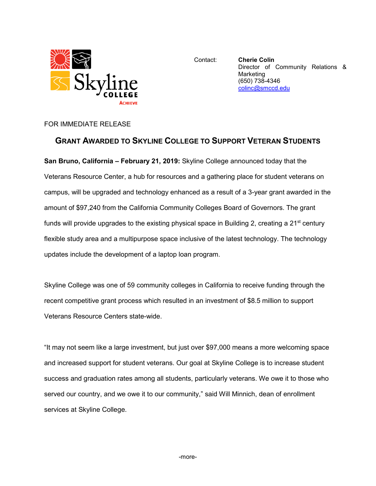

Contact: **Cherie Colin** Director of Community Relations & **Marketing** (650) 738-4346 [colinc@smccd.edu](mailto:colinc@smccd.edu)

## FOR IMMEDIATE RELEASE

## **GRANT AWARDED TO SKYLINE COLLEGE TO SUPPORT VETERAN STUDENTS**

**San Bruno, California – February 21, 2019:** Skyline College announced today that the Veterans Resource Center, a hub for resources and a gathering place for student veterans on campus, will be upgraded and technology enhanced as a result of a 3-year grant awarded in the amount of \$97,240 from the California Community Colleges Board of Governors. The grant funds will provide upgrades to the existing physical space in Building 2, creating a  $21<sup>st</sup>$  century flexible study area and a multipurpose space inclusive of the latest technology. The technology updates include the development of a laptop loan program.

Skyline College was one of 59 community colleges in California to receive funding through the recent competitive grant process which resulted in an investment of \$8.5 million to support Veterans Resource Centers state-wide.

"It may not seem like a large investment, but just over \$97,000 means a more welcoming space and increased support for student veterans. Our goal at Skyline College is to increase student success and graduation rates among all students, particularly veterans. We owe it to those who served our country, and we owe it to our community," said Will Minnich, dean of enrollment services at Skyline College.